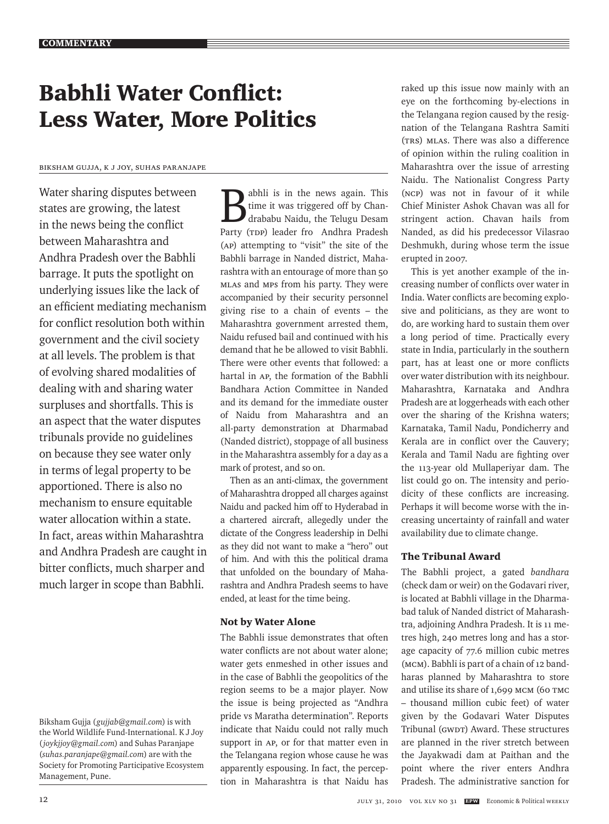# Babhli Water Conflict: Less Water, More Politics

## Biksham Gujja, K J Joy, Suhas Paranjape

Water sharing disputes between states are growing, the latest in the news being the conflict between Maharashtra and Andhra Pradesh over the Babhli barrage. It puts the spotlight on underlying issues like the lack of an efficient mediating mechanism for conflict resolution both within government and the civil society at all levels. The problem is that of evolving shared modalities of dealing with and sharing water surpluses and shortfalls. This is an aspect that the water disputes tribunals provide no guidelines on because they see water only in terms of legal property to be apportioned. There is also no mechanism to ensure equitable water allocation within a state. In fact, areas within Maharashtra and Andhra Pradesh are caught in bitter conflicts, much sharper and much larger in scope than Babhli.

**B**abhli is in the news again. This<br>time it was triggered off by Chan-<br>drababu Naidu, the Telugu Desam time it was triggered off by Chandrababu Naidu, the Telugu Desam Party (TDP) leader fro Andhra Pradesh (AP) attempting to "visit" the site of the Babhli barrage in Nanded district, Maharashtra with an entourage of more than 50 MLAs and MPs from his party. They were accompanied by their security personnel giving rise to a chain of events – the Maharashtra government arrested them, Naidu refused bail and continued with his demand that he be allowed to visit Babhli. There were other events that followed: a hartal in AP, the formation of the Babhli Bandhara Action Committee in Nanded and its demand for the immediate ouster of Naidu from Maharashtra and an all-party demonstration at Dharmabad (Nanded district), stoppage of all business in the Maharashtra assembly for a day as a mark of protest, and so on.

Then as an anti-climax, the government of Maharashtra dropped all charges against Naidu and packed him off to Hyderabad in a chartered aircraft, allegedly under the dictate of the Congress leadership in Delhi as they did not want to make a "hero" out of him. And with this the political drama that unfolded on the boundary of Maharashtra and Andhra Pradesh seems to have ended, at least for the time being.

## Not by Water Alone

The Babhli issue demonstrates that often water conflicts are not about water alone; water gets enmeshed in other issues and in the case of Babhli the geopolitics of the region seems to be a major player. Now the issue is being projected as "Andhra pride vs Maratha determination". Reports indicate that Naidu could not rally much support in AP, or for that matter even in the Telangana region whose cause he was apparently espousing. In fact, the perception in Maharashtra is that Naidu has

raked up this issue now mainly with an eye on the forthcoming by-elections in the Telangana region caused by the resignation of the Telangana Rashtra Samiti (TRS) MLAs. There was also a difference of opinion within the ruling coalition in Maharashtra over the issue of arresting Naidu. The Nationalist Congress Party (NCP) was not in favour of it while Chief Minister Ashok Chavan was all for stringent action. Chavan hails from Nanded, as did his predecessor Vilasrao Deshmukh, during whose term the issue erupted in 2007.

This is yet another example of the increasing number of conflicts over water in India. Water conflicts are becoming explosive and politicians, as they are wont to do, are working hard to sustain them over a long period of time. Practically every state in India, particularly in the southern part, has at least one or more conflicts over water distribution with its neighbour. Maharashtra, Karnataka and Andhra Pradesh are at loggerheads with each other over the sharing of the Krishna waters; Karnataka, Tamil Nadu, Pondicherry and Kerala are in conflict over the Cauvery; Kerala and Tamil Nadu are fighting over the 113-year old Mullaperiyar dam. The list could go on. The intensity and periodicity of these conflicts are increasing. Perhaps it will become worse with the increasing uncertainty of rainfall and water availability due to climate change.

## The Tribunal Award

The Babhli project, a gated *bandhara* (check dam or weir) on the Godavari river, is located at Babhli village in the Dharmabad taluk of Nanded district of Maharashtra, adjoining Andhra Pradesh. It is 11 metres high, 240 metres long and has a storage capacity of 77.6 million cubic metres (mcm). Babhli is part of a chain of 12 bandharas planned by Maharashtra to store and utilise its share of 1,699 mcm (60 TMC – thousand million cubic feet) of water given by the Godavari Water Disputes Tribunal (GWDT) Award. These structures are planned in the river stretch between the Jayakwadi dam at Paithan and the point where the river enters Andhra Pradesh. The administrative sanction for

Biksham Gujja (*gujjab@gmail.com*) is with the World Wildlife Fund-International. K J Joy (*joykjjoy@gmail.com*) and Suhas Paranjape (*suhas.paranjape@gmail.com*) are with the Society for Promoting Participative Ecosystem Management, Pune.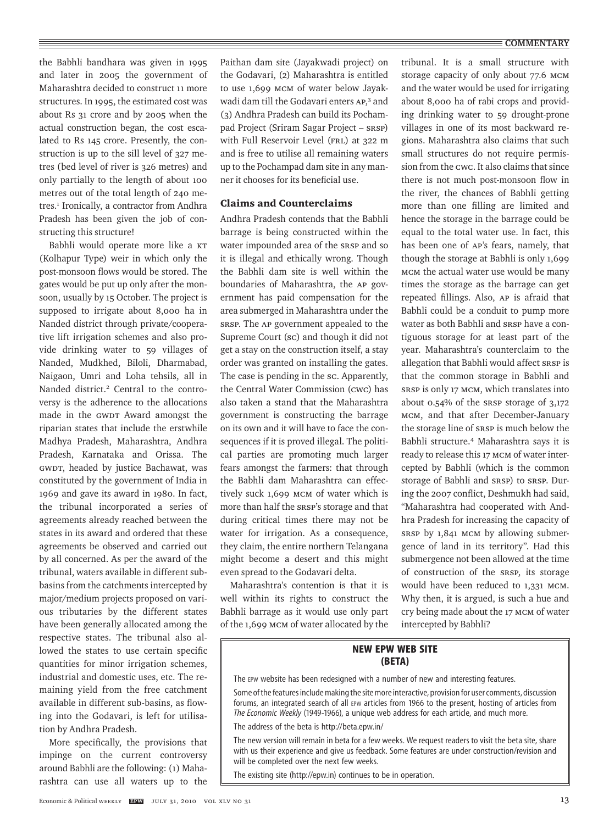### **COMMENTARY**

the Babhli bandhara was given in 1995 and later in 2005 the government of Maharashtra decided to construct 11 more structures. In 1995, the estimated cost was about Rs 31 crore and by 2005 when the actual construction began, the cost escalated to Rs 145 crore. Presently, the construction is up to the sill level of 327 metres (bed level of river is 326 metres) and only partially to the length of about 100 metres out of the total length of 240 metres.<sup>1</sup> Ironically, a contractor from Andhra Pradesh has been given the job of constructing this structure!

Babhli would operate more like a KT (Kolhapur Type) weir in which only the post-monsoon flows would be stored. The gates would be put up only after the monsoon, usually by 15 October. The project is supposed to irrigate about 8,000 ha in Nanded district through private/cooperative lift irrigation schemes and also provide drinking water to 59 villages of Nanded, Mudkhed, Biloli, Dharmabad, Naigaon, Umri and Loha tehsils, all in Nanded district.<sup>2</sup> Central to the controversy is the adherence to the allocations made in the GWDT Award amongst the riparian states that include the erstwhile Madhya Pradesh, Maharashtra, Andhra Pradesh, Karnataka and Orissa. The GWDT, headed by justice Bachawat, was constituted by the government of India in 1969 and gave its award in 1980. In fact, the tribunal incorporated a series of agreements already reached between the states in its award and ordered that these agreements be observed and carried out by all concerned. As per the award of the tribunal, waters available in different subbasins from the catchments intercepted by major/medium projects proposed on various tributaries by the different states have been generally allocated among the respective states. The tribunal also allowed the states to use certain specific quantities for minor irrigation schemes, industrial and domestic uses, etc. The remaining yield from the free catchment available in different sub-basins, as flowing into the Godavari, is left for utilisation by Andhra Pradesh.

More specifically, the provisions that impinge on the current controversy around Babhli are the following: (1) Maharashtra can use all waters up to the

Paithan dam site (Jayakwadi project) on the Godavari, (2) Maharashtra is entitled to use 1,699 mcm of water below Jayakwadi dam till the Godavari enters AP,<sup>3</sup> and (3) Andhra Pradesh can build its Pochampad Project (Sriram Sagar Project – SRSP) with Full Reservoir Level (FRL) at 322 m and is free to utilise all remaining waters up to the Pochampad dam site in any manner it chooses for its beneficial use.

## Claims and Counterclaims

Andhra Pradesh contends that the Babhli barrage is being constructed within the water impounded area of the SRSP and so it is illegal and ethically wrong. Though the Babhli dam site is well within the boundaries of Maharashtra, the AP government has paid compensation for the area submerged in Maharashtra under the SRSP. The AP government appealed to the Supreme Court (SC) and though it did not get a stay on the construction itself, a stay order was granted on installing the gates. The case is pending in the sc. Apparently, the Central Water Commission (CWC) has also taken a stand that the Maharashtra government is constructing the barrage on its own and it will have to face the consequences if it is proved illegal. The political parties are promoting much larger fears amongst the farmers: that through the Babhli dam Maharashtra can effectively suck 1,699 mcm of water which is more than half the SRSP's storage and that during critical times there may not be water for irrigation. As a consequence, they claim, the entire northern Telangana might become a desert and this might even spread to the Godavari delta.

Maharashtra's contention is that it is well within its rights to construct the Babhli barrage as it would use only part of the 1,699 mcm of water allocated by the tribunal. It is a small structure with storage capacity of only about 77.6 mcm and the water would be used for irrigating about 8,000 ha of rabi crops and providing drinking water to 59 drought-prone villages in one of its most backward regions. Maharashtra also claims that such small structures do not require permission from the CWC. It also claims that since there is not much post-monsoon flow in the river, the chances of Babhli getting more than one filling are limited and hence the storage in the barrage could be equal to the total water use. In fact, this has been one of AP's fears, namely, that though the storage at Babhli is only 1,699 mcm the actual water use would be many times the storage as the barrage can get repeated fillings. Also, AP is afraid that Babhli could be a conduit to pump more water as both Babhli and SRSP have a contiguous storage for at least part of the year. Maharashtra's counterclaim to the allegation that Babhli would affect SRSP is that the common storage in Babhli and SRSP is only 17 mcm, which translates into about 0.54% of the SRSP storage of 3,172 mcm, and that after December-January the storage line of SRSP is much below the Babhli structure.4 Maharashtra says it is ready to release this 17 mcm of water intercepted by Babhli (which is the common storage of Babhli and SRSP) to SRSP. During the 2007 conflict, Deshmukh had said, "Maharashtra had cooperated with Andhra Pradesh for increasing the capacity of SRSP by 1,841 mcm by allowing submergence of land in its territory". Had this submergence not been allowed at the time of construction of the SRSP, its storage would have been reduced to 1,331 mcm. Why then, it is argued, is such a hue and cry being made about the 17 mcm of water intercepted by Babhli?

## **NEW EPW WEB SITE (BETA)**

The epw website has been redesigned with a number of new and interesting features.

Some of the features include making the site more interactive, provision for user comments, discussion forums, an integrated search of all EPW articles from 1966 to the present, hosting of articles from *The Economic Weekly* (1949-1966), a unique web address for each article, and much more.

The address of the beta is http://beta.epw.in/

The new version will remain in beta for a few weeks. We request readers to visit the beta site, share with us their experience and give us feedback. Some features are under construction/revision and will be completed over the next few weeks.

The existing site (http://epw.in) continues to be in operation.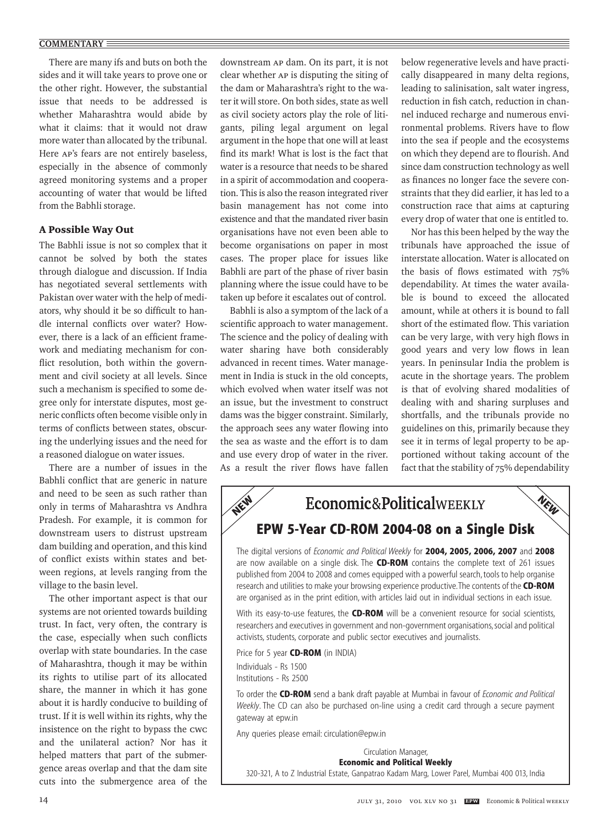## **COMMENTARY**

There are many ifs and buts on both the sides and it will take years to prove one or the other right. However, the substantial issue that needs to be addressed is whether Maharashtra would abide by what it claims: that it would not draw more water than allocated by the tribunal. Here AP's fears are not entirely baseless, especially in the absence of commonly agreed monitoring systems and a proper accounting of water that would be lifted from the Babhli storage.

## A Possible Way Out

The Babhli issue is not so complex that it cannot be solved by both the states through dialogue and discussion. If India has negotiated several settlements with Pakistan over water with the help of mediators, why should it be so difficult to handle internal conflicts over water? However, there is a lack of an efficient framework and mediating mechanism for conflict resolution, both within the government and civil society at all levels. Since such a mechanism is specified to some degree only for interstate disputes, most generic conflicts often become visible only in terms of conflicts between states, obscuring the underlying issues and the need for a reasoned dialogue on water issues.

There are a number of issues in the Babhli conflict that are generic in nature and need to be seen as such rather than only in terms of Maharashtra vs Andhra Pradesh. For example, it is common for downstream users to distrust upstream dam building and operation, and this kind of conflict exists within states and between regions, at levels ranging from the village to the basin level.

The other important aspect is that our systems are not oriented towards building trust. In fact, very often, the contrary is the case, especially when such conflicts overlap with state boundaries. In the case of Maharashtra, though it may be within its rights to utilise part of its allocated share, the manner in which it has gone about it is hardly conducive to building of trust. If it is well within its rights, why the insistence on the right to bypass the CWC and the unilateral action? Nor has it helped matters that part of the submergence areas overlap and that the dam site cuts into the submergence area of the

downstream AP dam. On its part, it is not clear whether AP is disputing the siting of the dam or Maharashtra's right to the water it will store. On both sides, state as well as civil society actors play the role of litigants, piling legal argument on legal argument in the hope that one will at least find its mark! What is lost is the fact that water is a resource that needs to be shared in a spirit of accommodation and cooperation. This is also the reason integrated river basin management has not come into existence and that the mandated river basin organisations have not even been able to become organisations on paper in most cases. The proper place for issues like Babhli are part of the phase of river basin planning where the issue could have to be taken up before it escalates out of control.

Babhli is also a symptom of the lack of a scientific approach to water management. The science and the policy of dealing with water sharing have both considerably advanced in recent times. Water management in India is stuck in the old concepts, which evolved when water itself was not an issue, but the investment to construct dams was the bigger constraint. Similarly, the approach sees any water flowing into the sea as waste and the effort is to dam and use every drop of water in the river. As a result the river flows have fallen below regenerative levels and have practically disappeared in many delta regions, leading to salinisation, salt water ingress, reduction in fish catch, reduction in channel induced recharge and numerous environmental problems. Rivers have to flow into the sea if people and the ecosystems on which they depend are to flourish. And since dam construction technology as well as finances no longer face the severe constraints that they did earlier, it has led to a construction race that aims at capturing every drop of water that one is entitled to.

Nor has this been helped by the way the tribunals have approached the issue of interstate allocation. Water is allocated on the basis of flows estimated with 75% dependability. At times the water available is bound to exceed the allocated amount, while at others it is bound to fall short of the estimated flow. This variation can be very large, with very high flows in good years and very low flows in lean years. In peninsular India the problem is acute in the shortage years. The problem is that of evolving shared modalities of dealing with and sharing surpluses and shortfalls, and the tribunals provide no guidelines on this, primarily because they see it in terms of legal property to be apportioned without taking account of the fact that the stability of 75% dependability



are now available on a single disk. The **CD-ROM** contains the complete text of 261 issues published from 2004 to 2008 and comes equipped with a powerful search, tools to help organise research and utilities to make your browsing experience productive. The contents of the **CD-ROM** are organised as in the print edition, with articles laid out in individual sections in each issue.

With its easy-to-use features, the **CD-ROM** will be a convenient resource for social scientists, researchers and executives in government and non-government organisations, social and political activists, students, corporate and public sector executives and journalists.

Price for 5 year **CD-ROM** (in INDIA) Individuals - Rs 1500 Institutions - Rs 2500

To order the **CD-ROM** send a bank draft payable at Mumbai in favour of *Economic and Political Weekly*. The CD can also be purchased on-line using a credit card through a secure payment gateway at epw.in

Any queries please email: circulation@epw.in

Circulation Manager, **Economic and Political Weekly** 320-321, A to Z Industrial Estate, Ganpatrao Kadam Marg, Lower Parel, Mumbai 400 013, India